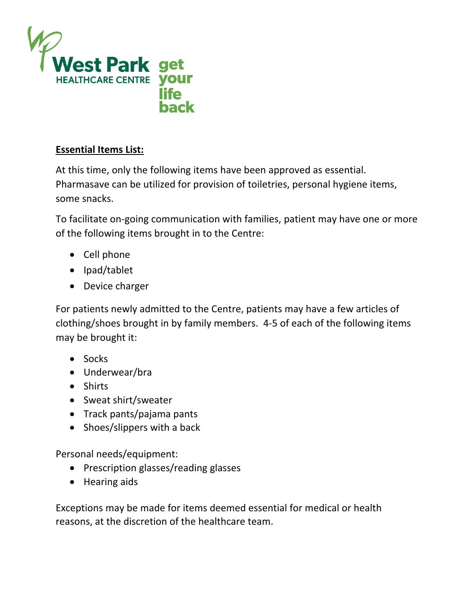

## **Essential Items List:**

At this time, only the following items have been approved as essential. Pharmasave can be utilized for provision of toiletries, personal hygiene items, some snacks.

To facilitate on‐going communication with families, patient may have one or more of the following items brought in to the Centre:

- Cell phone
- Ipad/tablet
- Device charger

For patients newly admitted to the Centre, patients may have a few articles of clothing/shoes brought in by family members. 4‐5 of each of the following items may be brought it:

- Socks
- Underwear/bra
- Shirts
- Sweat shirt/sweater
- Track pants/pajama pants
- Shoes/slippers with a back

Personal needs/equipment:

- Prescription glasses/reading glasses
- Hearing aids

Exceptions may be made for items deemed essential for medical or health reasons, at the discretion of the healthcare team.